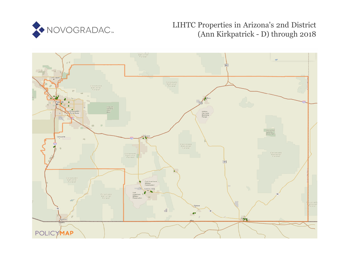

# LIHTC Properties in Arizona's 2nd District (Ann Kirkpatrick - D) through 2018

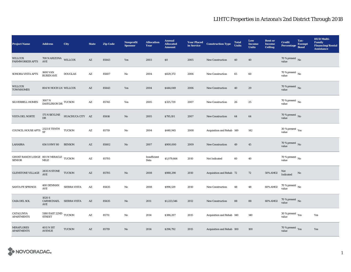| <b>Project Name</b>                                                                                                                            | <b>Address</b>                                                | <b>City</b>         | <b>State</b>           | <b>Zip Code</b> | <b>Nonprofit</b><br><b>Sponsor</b> | <b>Allocation</b><br><b>Year</b> | <b>Annual</b><br><b>Allocated</b><br><b>Amount</b> | <b>Year Placed<br/>in Service</b> | <b>Construction Type</b>  | <b>Total</b><br><b>Units</b> | Low<br><b>Income</b><br><b>Units</b> | <b>Rent or</b><br><b>Income</b><br><b>Ceiling</b> | <b>Credit</b><br>Percentage Bond         | Tax-<br><b>Exempt</b> | <b>HUD Multi-</b><br><b>Family</b><br><b>Financing/Rental</b><br><b>Assistance</b> |
|------------------------------------------------------------------------------------------------------------------------------------------------|---------------------------------------------------------------|---------------------|------------------------|-----------------|------------------------------------|----------------------------------|----------------------------------------------------|-----------------------------------|---------------------------|------------------------------|--------------------------------------|---------------------------------------------------|------------------------------------------|-----------------------|------------------------------------------------------------------------------------|
| WILLCOX<br><b>FARMWORKER APTS</b>                                                                                                              | 708 N ARIZONA WILLCOX<br>AVE                                  |                     | $\mathbf{A}\mathbf{Z}$ | 85643           | Yes                                | 2003                             | \$0                                                | 2005                              | <b>New Construction</b>   | 40                           | 40                                   |                                                   | $70$ % present $_{\rm{No}}$              |                       |                                                                                    |
| SONORA VISTA APTS                                                                                                                              | <b>1600 VAN</b><br><b>BUREN AVE</b>                           | <b>DOUGLAS</b>      | AZ                     | 85607           | No                                 | 2004                             | \$829,372                                          | 2006                              | <b>New Construction</b>   | 65                           | 60                                   |                                                   | 70 % present $\overline{N_0}$<br>value   |                       |                                                                                    |
| <b>WILLCOX</b><br><b>TOWNHOMES</b>                                                                                                             | 804 W HOCH LN WILLCOX                                         |                     | AZ                     | 85643           | Yes                                | 2004                             | \$444,049                                          | 2006                              | <b>New Construction</b>   | 40                           | 29                                   |                                                   | 70 % present $\,$ No $\,$<br>value       |                       |                                                                                    |
| <b>SILVERBELL HOMES</b>                                                                                                                        | $3007\,\mathrm{N}$ DASYLIRION DR TUCSON                       |                     | $\mathbf{A}\mathbf{Z}$ | 85745           | Yes                                | 2005                             | \$325,729                                          | 2007                              | New Construction          | 26                           | $\bf 25$                             |                                                   | 70 % present $\,$ No $\,$<br>value       |                       |                                                                                    |
| VISTA DEL NORTE                                                                                                                                | 175 N SKYLINE<br>DR                                           | HUACHUCA CITY AZ    |                        | 85616           | No                                 | 2005                             | \$795,101                                          | 2007                              | <b>New Construction</b>   | 64                           | 64                                   |                                                   | $70\,\%$ present $\,$ No value           |                       |                                                                                    |
| COUNCIL HOUSE APTS                                                                                                                             | 2323 E TENTH<br>ST                                            | <b>TUCSON</b>       | $\mathbf{A}\mathbf{Z}$ | 85719           | No                                 | 2004                             | \$440,945                                          | 2008                              | Acquisition and Rehab 149 |                              | 142                                  |                                                   | $30\,\%$ present $\,$ $\rm Yes$<br>value |                       |                                                                                    |
| LAHABRA                                                                                                                                        | 656 S HWY 80                                                  | <b>BENSON</b>       | AZ                     | 85602           | No                                 | 2007                             | \$900,000                                          | 2009                              | <b>New Construction</b>   | 49                           | 45                                   |                                                   | $70\,\%$ present $\,$ No value           |                       |                                                                                    |
| $\begin{array}{ll} \text{GHOST RANCH LODGE} & \text{801 W MIRACLE} & \text{TUCSON} \\ \text{SENIOR} & \text{MILE} & \text{TUCSON} \end{array}$ |                                                               |                     | $\mathbf{A}\mathbf{Z}$ | 85705           |                                    | Insufficient<br>Data             | \$1,079,664                                        | 2010                              | Not Indicated             | 60                           | 40                                   |                                                   | 70 % present $\,$ No $\,$<br>value       |                       |                                                                                    |
| <b>GLENSTONE VILLAGE</b>                                                                                                                       | $2835$ N STONE $\quad$ TUCSON AVE                             |                     | AZ                     | 85705           | No                                 | 2008                             | \$988,290                                          | 2010                              | Acquisition and Rehab 72  |                              | 72                                   | <b>50% AMGI</b>                                   | Not<br>Indicated                         | No                    |                                                                                    |
| SANTA FE SPRINGS                                                                                                                               | 400 DENMAN<br>AVE                                             | <b>SIERRA VISTA</b> | $\mathbf{A}\mathbf{Z}$ | 85635           | No                                 | 2008                             | \$996,129                                          | 2010                              | New Construction          | 48                           | 48                                   | 60% AMGI                                          | 70 % present $\,$ No $\,$<br>value       |                       |                                                                                    |
| CASA DEL SOL                                                                                                                                   | 1020 S<br>CARMICHAEL<br>AVE                                   | <b>SIERRA VISTA</b> | $\mathbf{A}\mathbf{Z}$ | 85635           | $\mathbf {No}$                     | 2011                             | \$1,223,546                                        | 2012                              | New Construction          | 88                           | ${\bf 88}$                           | $60\%$ AMGI                                       | $70\,\%$ present $\,$ No value           |                       |                                                                                    |
| CATALUNYA<br><b>APARTMENTS</b>                                                                                                                 | $5180$ EAST $22\mathrm{ND}$ $\,$ TUCSON $\,$<br><b>STREET</b> |                     | $\mathbf{A}\mathbf{Z}$ | 85711           | No                                 | 2014                             | \$386,207                                          | 2015                              | Acquisition and Rehab 140 |                              | 140                                  |                                                   | 30 % present $\rm_{Yes}$<br>value        |                       | Yes                                                                                |
| <b>MIRAFLORES</b><br><b>APARTMENTS</b>                                                                                                         | 4011 N 1ST<br><b>AVENUE</b>                                   | <b>TUCSON</b>       | $\mathbf{A}\mathbf{Z}$ | 85719           | No                                 | 2014                             | \$296,792                                          | 2015                              | Acquisition and Rehab 100 |                              | 100                                  |                                                   | 70 % present Yes<br>value                |                       | Yes                                                                                |

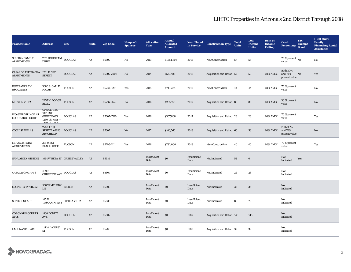| <b>Project Name</b>                                 | <b>Address</b>                                                                         | City           | <b>State</b>           | <b>Zip Code</b> | <b>Nonprofit</b><br><b>Sponsor</b> | <b>Allocation</b><br>Year | <b>Annual</b><br><b>Allocated</b><br><b>Amount</b> | <b>Year Placed</b><br>in Service | <b>Construction Type</b>  | <b>Total</b><br><b>Units</b> | Low<br><b>Income</b><br><b>Units</b> | <b>Rent or</b><br><b>Income</b><br><b>Ceiling</b> | <b>Credit</b><br>Percentage Bond            | Tax-<br><b>Exempt</b> | <b>HUD Multi-</b><br><b>Family</b><br><b>Financing/Rental</b><br><b>Assistance</b> |
|-----------------------------------------------------|----------------------------------------------------------------------------------------|----------------|------------------------|-----------------|------------------------------------|---------------------------|----------------------------------------------------|----------------------------------|---------------------------|------------------------------|--------------------------------------|---------------------------------------------------|---------------------------------------------|-----------------------|------------------------------------------------------------------------------------|
| <b>SUN RAY FAMILY</b><br><b>APARTMENTS</b>          | 2511 HOHOKAM<br><b>DRIVE</b>                                                           | <b>DOUGLAS</b> | $\mathbf{A}\mathbf{Z}$ | 85607           | $\mathbf{No}$                      | 2013                      | \$1,154,603                                        | 2015                             | <b>New Construction</b>   | 57                           | 56                                   |                                                   | $70$ % present $\,$ No $\,$<br>value        |                       | No                                                                                 |
| CASAS DE ESPERANZA 1201 E. 3RD<br><b>APARTMENTS</b> | <b>STREET</b>                                                                          | <b>DOUGLAS</b> | $\mathbf{A}\mathbf{Z}$ | 85607-2008      | No                                 | 2014                      | \$537,485                                          | 2016                             | Acquisition and Rehab 50  |                              | 50                                   | 60% AMGI                                          | <b>Both 30%</b><br>and 70%<br>present value | No                    | Yes                                                                                |
| <b>ESPERANZA EN</b><br><b>ESCALANTE</b>             | 3680 S. CALLE<br><b>POLAR</b>                                                          | <b>TUCSON</b>  | AZ                     | 85730-3261      | Yes                                | 2015                      | \$743,284                                          | 2017                             | <b>New Construction</b>   | 44                           | 44                                   | 60% AMGI                                          | 70 % present<br>value                       |                       | No                                                                                 |
| <b>MISSION VISTA</b>                                | 2455 N. DODGE TUCSON<br>BLVD.                                                          |                | $\mathbf{A}\mathbf{Z}$ | 85716-2659      | $\rm No$                           | 2016                      | \$265,766                                          | 2017                             | Acquisition and Rehab 80  |                              | 80                                   | 60% AMGI                                          | 30 % present<br>value                       |                       | $\rm No$                                                                           |
| PIONEER VILLAGE AT<br>CORONADO COURT                | <b><i>OFFICE-1190</i></b><br>18TH ST<br>(BUILDINGS)<br>1260 16TH ST +<br>1940 19TH CT) | <b>DOUGLAS</b> | AZ                     | 85607-1700      | Yes                                | 2016                      | \$307,868                                          | 2017                             | Acquisition and Rehab 28  |                              | 28                                   | 60% AMGI                                          | 70 % present<br>value                       |                       | Yes                                                                                |
| <b>COCHISE VILLAS</b>                               | 2700 15TH<br><b>STREET + 1620</b><br><b>APACHE DR</b>                                  | <b>DOUGLAS</b> | AZ                     | 85607           | $\mathbf{N}\mathbf{o}$             | 2017                      | \$103,566                                          | 2018                             | Acquisition and Rehab 60  |                              | 58                                   | 60% AMGI                                          | <b>Both 30%</b><br>and 70%<br>present value |                       | No                                                                                 |
| MIRACLE POINT<br><b>APARTMENTS</b>                  | <b>375 WEST</b><br><b>BLACKLIDGE</b>                                                   | <b>TUCSON</b>  | $\mathbf{A}\mathbf{Z}$ | 85705-1111      | Yes                                | 2016                      | \$782,000                                          | 2018                             | <b>New Construction</b>   | 40                           | 40                                   | 60% AMGI                                          | 70 % present<br>value                       |                       | Yes                                                                                |
| <b>SAHUARITA MISSION</b>                            | 1091 W BETA ST GREEN VALLEY                                                            |                | AZ                     | 85614           |                                    | Insufficient<br>Data      | \$0                                                | Insufficient<br>Data             | Not Indicated             | $52\,$                       | $\bf{0}$                             |                                                   | Not<br>Indicated                            | Yes                   |                                                                                    |
| <b>CASA DE ORO APTS</b>                             | 409 N<br>$\overbrace{\text{CHRISTINE} \text{ AVE}}^{\text{DOUGLAS}}$                   |                | AZ                     | 85607           |                                    | Insufficient<br>Data      | $\$0$                                              | Insufficient<br>Data             | Not Indicated             | 24                           | 23                                   |                                                   | Not<br>Indicated                            |                       |                                                                                    |
| COPPER CITY VILLAS                                  | $508\,\rm{W}\,\rm{MELODY}$ BISBEE<br>I.N                                               |                | $\mathbf{A}\mathbf{Z}$ | 85603           |                                    | Insufficient<br>Data      | \$0                                                | Insufficient<br>Data             | Not Indicated             | 36                           | 35                                   |                                                   | Not<br>Indicated                            |                       |                                                                                    |
| <b>SUN CREST APTS</b>                               | 105 N<br>TOSCANINI AVE $\,$ SIERRA VISTA                                               |                | $\mathbf{A}\mathbf{Z}$ | 85635           |                                    | Insufficient<br>Data      | \$0                                                | Insufficient<br>Data             | Not Indicated             | 80                           | 79                                   |                                                   | Not<br>Indicated                            |                       |                                                                                    |
| <b>CORONADO COURTS</b><br><b>APTS</b>               | 1830 BONITA<br>$\operatorname{AVE}$                                                    | <b>DOUGLAS</b> | AZ                     | 85607           |                                    | Insufficient<br>Data      | \$0                                                | 1987                             | Acquisition and Rehab 145 |                              | 145                                  |                                                   | Not<br>Indicated                            |                       |                                                                                    |
| <b>LAGUNA TERRACE</b>                               | 114 W LAGUNA TUCSON<br><b>ST</b>                                                       |                | AZ                     | 85705           |                                    | Insufficient<br>Data      | \$0                                                | 1988                             | Acquisition and Rehab 39  |                              | 39                                   |                                                   | Not<br>Indicated                            |                       |                                                                                    |

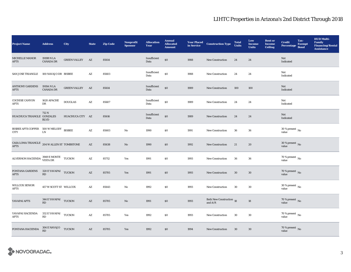| <b>Project Name</b>                                                                                                                                                     | <b>Address</b>                                                                                        | City                | <b>State</b>           | <b>Zip Code</b> | <b>Nonprofit</b><br><b>Sponsor</b> | <b>Allocation</b><br><b>Year</b> | <b>Annual</b><br><b>Allocated</b><br><b>Amount</b> | <b>Year Placed<br/>in Service</b> | <b>Construction Type</b>              | <b>Total</b><br><b>Units</b> | Low<br><b>Income</b><br><b>Units</b> | <b>Rent</b> or<br><b>Income</b><br><b>Ceiling</b> | <b>Credit</b><br><b>Percentage</b>       | Tax-<br><b>Exempt</b><br><b>Bond</b> | <b>HUD Multi-</b><br><b>Family</b><br><b>Financing/Rental</b><br><b>Assistance</b> |
|-------------------------------------------------------------------------------------------------------------------------------------------------------------------------|-------------------------------------------------------------------------------------------------------|---------------------|------------------------|-----------------|------------------------------------|----------------------------------|----------------------------------------------------|-----------------------------------|---------------------------------------|------------------------------|--------------------------------------|---------------------------------------------------|------------------------------------------|--------------------------------------|------------------------------------------------------------------------------------|
| <b>MICHELLE MANOR</b><br><b>APTS</b>                                                                                                                                    | 1919B N LA<br><b>CANADA DR</b>                                                                        | <b>GREEN VALLEY</b> | AZ                     | 85614           |                                    | Insufficient<br>Data             | \$0                                                | 1988                              | <b>New Construction</b>               | 24                           | 24                                   |                                                   | Not<br>Indicated                         |                                      |                                                                                    |
| <b>SAN JOSE TRIANGLE</b>                                                                                                                                                | 100 NAVAJO DR BISBEE                                                                                  |                     | AZ                     | 85603           |                                    | Insufficient<br>Data             | \$0                                                | 1988                              | <b>New Construction</b>               | 24                           | 24                                   |                                                   | Not<br>Indicated                         |                                      |                                                                                    |
| <b>ANTHONY GARDENS</b><br>APTS                                                                                                                                          | 1919A N LA<br><b>CANADA DR</b>                                                                        | <b>GREEN VALLEY</b> | AZ                     | 85614           |                                    | Insufficient<br>Data             | $\$0$                                              | 1989                              | New Construction                      | 100                          | 100                                  |                                                   | Not<br>Indicated                         |                                      |                                                                                    |
| <b>COCHISE CANYON</b><br>APTS                                                                                                                                           | 1620 APACHE<br>DR                                                                                     | <b>DOUGLAS</b>      | $\mathbf{A}\mathbf{Z}$ | 85607           |                                    | Insufficient<br>Data             | \$0                                                | 1989                              | New Construction                      | 24                           | 24                                   |                                                   | Not<br>Indicated                         |                                      |                                                                                    |
| HUACHUCA TRIANGLE GONZALES                                                                                                                                              | 712 N<br><b>BLVD</b>                                                                                  | HUACHUCA CITY AZ    |                        | 85616           |                                    | Insufficient<br>Data             | \$0                                                | 1989                              | <b>New Construction</b>               | 24                           | 24                                   |                                                   | Not<br>Indicated                         |                                      |                                                                                    |
| $\begin{tabular}{ll} BISBEE APTS COPPER & 500 W MELODY & BISBEE \\ \text{CITY} & \text{LN} & \end{tabular}$                                                             |                                                                                                       |                     | $\mathbf{A}\mathbf{Z}$ | 85603           | No                                 | 1990                             | \$0\$                                              | 1991                              | <b>New Construction</b>               | 36                           | 36                                   |                                                   | $30\,\%$ present $_{\, \rm No}$<br>value |                                      |                                                                                    |
| CASA LOMA TRIANGLE $\,$ 204 W ALLEN ST TOMBSTONE<br><b>APTS</b>                                                                                                         |                                                                                                       |                     | AZ                     | 85638           | No                                 | 1990                             | $\$0$                                              | 1992                              | New Construction                      | 21                           | 20                                   |                                                   | $30\,\%$ present $\,$ No value           |                                      |                                                                                    |
| $\begin{tabular}{ll} A LVERNON HACIENDA & \begin{tabular}{ll} 3949\,E\,MONTE \\ VISTA\,DR \\ \end{tabular} & \begin{tabular}{ll} TUCSON \\ \end{tabular} \end{tabular}$ |                                                                                                       |                     | AZ                     | 85712           | Yes                                | 1991                             | \$0                                                | 1993                              | <b>New Construction</b>               | 36                           | 36                                   |                                                   | $70$ % present $\,$ No value             |                                      |                                                                                    |
| <b>FONTANA GARDENS</b><br><b>APTS</b>                                                                                                                                   | 320 E YAVAPAI TUCSON<br>RD                                                                            |                     | AZ                     | 85705           | Yes                                | 1991                             | \$0                                                | 1993                              | New Construction                      | 30                           | 30                                   |                                                   | 70 % present No<br>value                 |                                      |                                                                                    |
| <b>WILLCOX SENIOR</b><br>APTS                                                                                                                                           | 457 W SCOTT ST WILLCOX                                                                                |                     | AZ                     | 85643           | No                                 | 1992                             | \$0                                                | 1993                              | New Construction                      | 30                           | 30                                   |                                                   | 30 % present $\,$ No $\,$<br>value       |                                      |                                                                                    |
| YAVAPAI APTS                                                                                                                                                            | 344 E YAVAPAI TUCSON<br>RD                                                                            |                     | AZ                     | 85705           | No                                 | 1991                             | \$0                                                | 1993                              | Both New Construction 18<br>and $A/R$ |                              | 18                                   |                                                   | $70\,\%$ present $\,$ No value           |                                      |                                                                                    |
| YAVAPAI HACIENDA<br><b>APTS</b>                                                                                                                                         | 332 E YAVAPAI TUCSON<br>RD                                                                            |                     | $\mathbf{A}\mathbf{Z}$ | 85705           | Yes                                | 1992                             | $\$0$                                              | 1993                              | <b>New Construction</b>               | 30                           | 30                                   |                                                   | $70$ % present $\,$ No $\,$<br>value     |                                      |                                                                                    |
| FONTANA HACIENDA                                                                                                                                                        | $\begin{array}{cc}\n 306 \text{ E NAVAJO} & \text{TUCSON} \\ \text{RD} & \text{TUCSON}\n \end{array}$ |                     | AZ                     | 85705           | Yes                                | 1992                             | \$0                                                | 1994                              | <b>New Construction</b>               | 30                           | 30                                   |                                                   | $70\,\%$ present $\,$ No value           |                                      |                                                                                    |

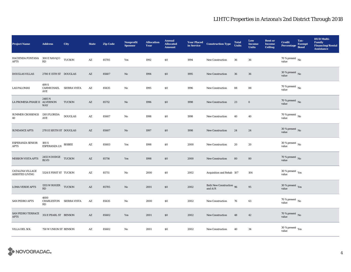| <b>Project Name</b>                                 | <b>Address</b>                                | City                | <b>State</b>           | <b>Zip Code</b> | <b>Nonprofit</b><br><b>Sponsor</b> | <b>Allocation</b><br>Year | <b>Annual</b><br><b>Allocated</b><br><b>Amount</b> | <b>Year Placed</b><br>in Service | <b>Construction Type</b>              | <b>Total</b><br><b>Units</b> | Low<br><b>Income</b><br><b>Units</b> | <b>Rent or</b><br><b>Income</b><br>Ceiling | <b>Credit</b><br>Percentage Bond        | Tax-<br><b>Exempt</b> | <b>HUD Multi-</b><br><b>Family</b><br><b>Financing/Rental</b><br><b>Assistance</b> |
|-----------------------------------------------------|-----------------------------------------------|---------------------|------------------------|-----------------|------------------------------------|---------------------------|----------------------------------------------------|----------------------------------|---------------------------------------|------------------------------|--------------------------------------|--------------------------------------------|-----------------------------------------|-----------------------|------------------------------------------------------------------------------------|
| HACIENDA FONTANA 300 E NAVAJO TUCSON<br><b>APTS</b> | RD                                            |                     | $\mathbf{A}\mathbf{Z}$ | 85705           | Yes                                | 1992                      | \$0                                                | 1994                             | <b>New Construction</b>               | 36                           | 36                                   |                                            | $70$ % present $\,$ No $\,$<br>value    |                       |                                                                                    |
| <b>DOUGLAS VILLAS</b>                               | 2700 E 15TH ST DOUGLAS                        |                     | AZ                     | 85607           | $\mathbf{N}\mathbf{o}$             | 1994                      | \$0                                                | 1995                             | <b>New Construction</b>               | 36                           | 36                                   |                                            | $30\,\%$ present $\,$ No value          |                       |                                                                                    |
| <b>LAS PALOMAS</b>                                  | 499 S<br>CARMICHAEL<br>AVE                    | <b>SIERRA VISTA</b> | AZ                     | 85635           | No                                 | 1995                      | \$0                                                | 1996                             | <b>New Construction</b>               | 88                           | 88                                   |                                            | 70 % present $\,$ No $\,$<br>value      |                       |                                                                                    |
| LA PROMESA PHASE II ALVERNON                        | 2485N<br><b>WAY</b>                           | <b>TUCSON</b>       | AZ                     | 85712           | $\mathbf{N}\mathbf{o}$             | 1996                      | \$0                                                | 1998                             | <b>New Construction</b>               | 23                           | $\bf{0}$                             |                                            | $70\,\%$ present $\,$ No value          |                       |                                                                                    |
| <b>SUMMER CROSSINGS</b><br>40                       | 1301 FLORIDA<br>$\operatorname{\mathsf{AVE}}$ | <b>DOUGLAS</b>      | $\mathbf{A}\mathbf{Z}$ | 85607           | No                                 | 1998                      | \$0                                                | 1998                             | <b>New Construction</b>               | 40                           | 40                                   |                                            | 70 % present $\overline{N_0}$<br>value  |                       |                                                                                    |
| <b>SUNDANCE APTS</b>                                | 2701 E SIXTH ST DOUGLAS                       |                     | $\mathbf{A}\mathbf{Z}$ | 85607           | $\mathbf{N}\mathbf{o}$             | 1997                      | \$0                                                | 1998                             | New Construction                      | 24                           | 24                                   |                                            | $30\,\%$ present $\,$ No value          |                       |                                                                                    |
| <b>ESPERANZA SENIOR</b><br><b>APTS</b>              | 100 S<br><b>ESPERANZA LN</b>                  | <b>BISBEE</b>       | $\mathbf{A}\mathbf{Z}$ | 85603           | Yes                                | 1998                      | \$0                                                | 2000                             | New Construction                      | 20                           | 20                                   |                                            | $30$ % present $\,$ No $\,$<br>value    |                       |                                                                                    |
| <b>MISSION VISTA APTS</b>                           | $2455$ N DODGE TUCSON BLVD                    |                     | $\mathbf{A}\mathbf{Z}$ | 85716           | Yes                                | 1998                      | \$0                                                | 2000                             | <b>New Construction</b>               | 80                           | 80                                   |                                            | $70$ % present $\,$ No value            |                       |                                                                                    |
| <b>CATALINA VILLAGE</b><br><b>ASSISTED LIVING</b>   | 5324 E FIRST ST TUCSON                        |                     | $\mathbf{A}\mathbf{Z}$ | 85711           | $\mathbf{N}\mathbf{o}$             | 2000                      | \$0                                                | 2002                             | Acquisition and Rehab 107             |                              | 104                                  |                                            | 30 % present $\rm \gamma_{ES}$<br>value |                       |                                                                                    |
| <b>LOMA VERDE APTS</b>                              | 1355 W ROGER TUCSON<br>RD                     |                     | AZ                     | 85705           | No                                 | 2001                      | \$0                                                | 2002                             | Both New Construction 96<br>and $A/R$ |                              | 95                                   |                                            | $30\,\%$ present $\,$ Yes value         |                       |                                                                                    |
| <b>SAN PEDRO APTS</b>                               | 4600<br>CHARLESTON SIERRA VISTA<br>RD         |                     | AZ                     | 85635           | No                                 | 2000                      | \$0                                                | 2002                             | <b>New Construction</b>               | 76                           | 63                                   |                                            | $70\,\%$ present $\,$ No value          |                       |                                                                                    |
| SAN PEDRO TERRACE<br><b>APTS</b>                    | 351 E PEARL ST BENSON                         |                     | $\mathbf{A}\mathbf{Z}$ | 85602           | Yes                                | 2001                      | \$0                                                | 2002                             | New Construction                      | 48                           | 42                                   |                                            | 70 % present $\overline{N}$<br>value    |                       |                                                                                    |
| VILLA DEL SOL                                       | 750 W UNION ST BENSON                         |                     | A Z                    | 85602           | No                                 | 2001                      | \$0                                                | 2002                             | New Construction                      | 40                           | 34                                   |                                            | $30$ % present $\,$ $\rm Yes$<br>value  |                       |                                                                                    |